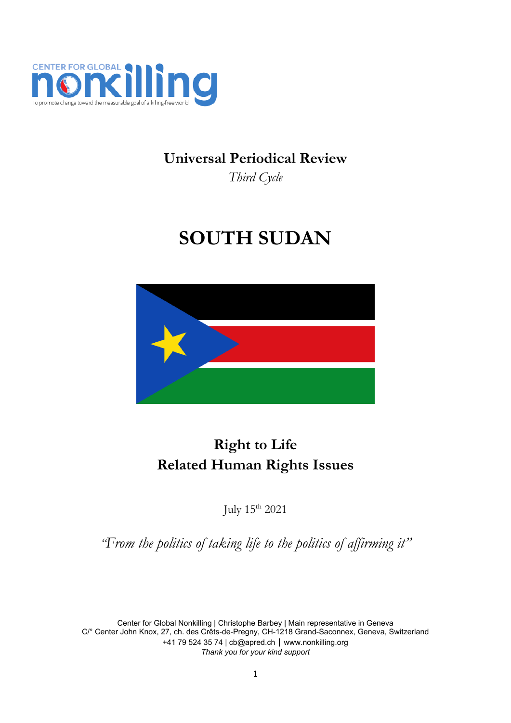

## **Universal Periodical Review**

*Third Cycle*

# **SOUTH SUDAN**



# **Right to Life Related Human Rights Issues**

July <sup>15</sup>th 2021

*"From the politics of taking life to the politics of affirming it"*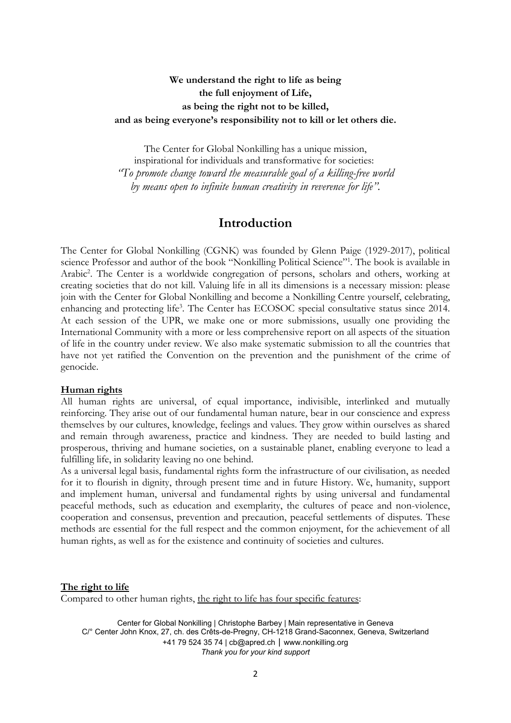#### **We understand the right to life as being the full enjoyment of Life, as being the right not to be killed, and as being everyone'<sup>s</sup> responsibility not to kill or let others die.**

The Center for Global Nonkilling has <sup>a</sup> unique mission, inspirational for individuals and transformative for societies: *"To promote change toward the measurable goal of <sup>a</sup> killing-free world by means open to infinite human creativity in reverence for life".*

#### **Introduction**

The Center for Global Nonkilling (CGNK) was founded by Glenn Paige (1929-2017), political science Professor and author of the book "Nonkilling Political Science"<sup>1</sup> . The book is available in Arabic 2 . The Center is <sup>a</sup> worldwide congregation of persons, scholars and others, working at creating societies that do not kill. Valuing life in all its dimensions is <sup>a</sup> necessary mission: please join with the Center for Global Nonkilling and become <sup>a</sup> Nonkilling Centre yourself, celebrating, enhancing and protecting life 3 . The Center has ECOSOC special consultative status since 2014. At each session of the UPR, we make one or more submissions, usually one providing the International Community with <sup>a</sup> more or less comprehensive report on all aspects of the situation of life in the country under review. We also make systematic submission to all the countries that have not ye<sup>t</sup> ratified the Convention on the prevention and the punishment of the crime of genocide.

#### **Human rights**

All human rights are universal, of equal importance, indivisible, interlinked and mutually reinforcing. They arise out of our fundamental human nature, bear in our conscience and express themselves by our cultures, knowledge, feelings and values. They grow within ourselves as shared and remain through awareness, practice and kindness. They are needed to build lasting and prosperous, thriving and humane societies, on <sup>a</sup> sustainable planet, enabling everyone to lead <sup>a</sup> fulfilling life, in solidarity leaving no one behind.

As <sup>a</sup> universal legal basis, fundamental rights form the infrastructure of our civilisation, as needed for it to flourish in dignity, through present time and in future History. We, humanity, support and implement human, universal and fundamental rights by using universal and fundamental peaceful methods, such as education and exemplarity, the cultures of peace and non-violence, cooperation and consensus, prevention and precaution, peaceful settlements of disputes. These methods are essential for the full respect and the common enjoyment, for the achievement of all human rights, as well as for the existence and continuity of societies and cultures.

#### **The right to life**

Compared to other human rights, the right to life has four specific features: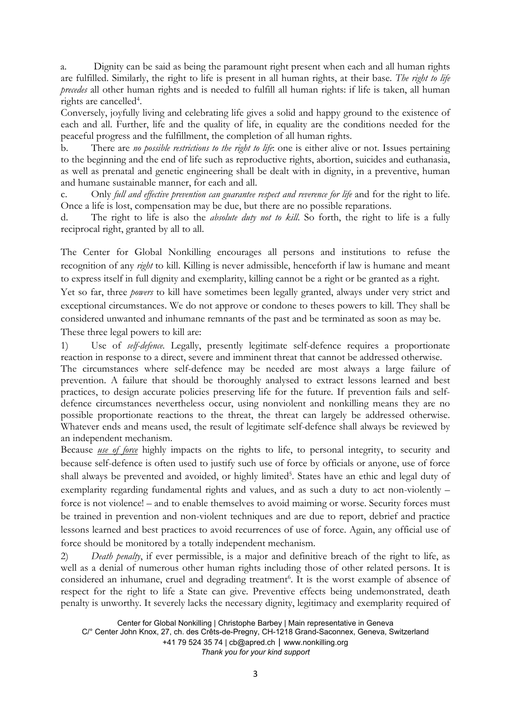a. Dignity can be said as being the paramount right present when each and all human rights are fulfilled. Similarly, the right to life is present in all human rights, at their base. *The right to life precedes* all other human rights and is needed to fulfill all human rights: if life is taken, all human rights are cancelled<sup>4</sup>.

Conversely, joyfully living and celebrating life gives <sup>a</sup> solid and happy ground to the existence of each and all. Further, life and the quality of life, in equality are the conditions needed for the peaceful progress and the fulfillment, the completion of all human rights.

b. There are *no possible restrictions to the right to life*: one is either alive or not. Issues pertaining to the beginning and the end of life such as reproductive rights, abortion, suicides and euthanasia, as well as prenatal and genetic engineering shall be dealt with in dignity, in <sup>a</sup> preventive, human and humane sustainable manner, for each and all.

c. Only *full and effective prevention can guarantee respect and reverence for life* and for the right to life. Once <sup>a</sup> life is lost, compensation may be due, but there are no possible reparations.

d. The right to life is also the *absolute duty not to kill*. So forth, the right to life is <sup>a</sup> fully reciprocal right, granted by all to all.

The Center for Global Nonkilling encourages all persons and institutions to refuse the recognition of any *right* to kill. Killing is never admissible, henceforth if law is humane and meant to express itself in full dignity and exemplarity, killing cannot be <sup>a</sup> right or be granted as <sup>a</sup> right.

Yet so far, three *powers* to kill have sometimes been legally granted, always under very strict and exceptional circumstances. We do not approve or condone to theses powers to kill. They shall be considered unwanted and inhumane remnants of the past and be terminated as soon as may be. These three legal powers to kill are:

1) Use of *self-defence.* Legally, presently legitimate self-defence requires <sup>a</sup> proportionate reaction in response to <sup>a</sup> direct, severe and imminent threat that cannot be addressed otherwise.

The circumstances where self-defence may be needed are most always <sup>a</sup> large failure of prevention. A failure that should be thoroughly analysed to extract lessons learned and best practices, to design accurate policies preserving life for the future. If prevention fails and selfdefence circumstances nevertheless occur, using nonviolent and nonkilling means they are no possible proportionate reactions to the threat, the threat can largely be addressed otherwise. Whatever ends and means used, the result of legitimate self-defence shall always be reviewed by an independent mechanism.

Because *use of force* highly impacts on the rights to life, to personal integrity, to security and because self-defence is often used to justify such use of force by officials or anyone, use of force shall always be prevented and avoided, or highly limited<sup>5</sup>. States have an ethic and legal duty of exemplarity regarding fundamental rights and values, and as such <sup>a</sup> duty to act non-violently – force is not violence! – and to enable themselves to avoid maiming or worse. Security forces must be trained in prevention and non-violent techniques and are due to report, debrief and practice lessons learned and best practices to avoid recurrences of use of force. Again, any official use of force should be monitored by <sup>a</sup> totally independent mechanism.

2) *Death penalty*, if ever permissible, is <sup>a</sup> major and definitive breach of the right to life, as well as <sup>a</sup> denial of numerous other human rights including those of other related persons. It is considered an inhumane, cruel and degrading treatment 6 . It is the worst example of absence of respect for the right to life <sup>a</sup> State can give. Preventive effects being undemonstrated, death penalty is unworthy. It severely lacks the necessary dignity, legitimacy and exemplarity required of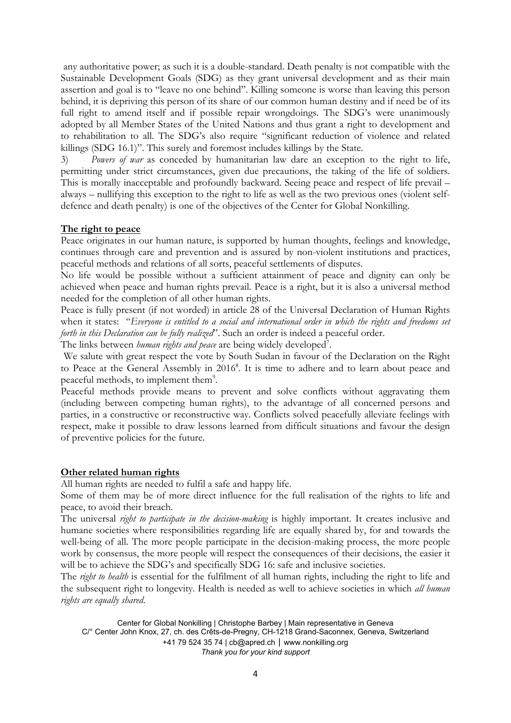any authoritative power; as such it is <sup>a</sup> double-standard. Death penalty is not compatible with the Sustainable Development Goals (SDG) as they grant universal development and as their main assertion and goal is to "leave no one behind". Killing someone is worse than leaving this person behind, it is depriving this person of its share of our common human destiny and if need be of its full right to amend itself and if possible repair wrongdoings. The SDG's were unanimously adopted by all Member States of the United Nations and thus grant <sup>a</sup> right to development and to rehabilitation to all. The SDG'<sup>s</sup> also require "significant reduction of violence and related killings (SDG 16.1)". This surely and foremost includes killings by the State.

3) *Powers of war* as conceded by humanitarian law dare an exception to the right to life, permitting under strict circumstances, given due precautions, the taking of the life of soldiers. This is morally inacceptable and profoundly backward. Seeing peace and respect of life prevail – always – nullifying this exception to the right to life as well as the two previous ones (violent selfdefence and death penalty) is one of the objectives of the Center for Global Nonkilling.

#### **The right to peace**

Peace originates in our human nature, is supported by human thoughts, feelings and knowledge, continues through care and prevention and is assured by non-violent institutions and practices, peaceful methods and relations of all sorts, peaceful settlements of disputes.

No life would be possible without <sup>a</sup> sufficient attainment of peace and dignity can only be achieved when peace and human rights prevail. Peace is <sup>a</sup> right, but it is also <sup>a</sup> universal method needed for the completion of all other human rights.

Peace is fully present (if not worded) in article 28 of the Universal Declaration of Human Rights when it states: "*Everyone is entitled to <sup>a</sup> social and international order in which the rights and freedoms set forth in this Declaration can be fully realized*". Such an order is indeed <sup>a</sup> peaceful order.

The links between *human rights and peace* are being widely developed<sup>7</sup> .

We salute with great respect the vote by South Sudan in favour of the Declaration on the Right to Peace at the General Assembly in 2016<sup>8</sup>. It is time to adhere and to learn about peace and peaceful methods, to implement them $^9$ .

Peaceful methods provide means to prevent and solve conflicts without aggravating them (including between competing human rights), to the advantage of all concerned persons and parties, in <sup>a</sup> constructive or reconstructive way. Conflicts solved peacefully alleviate feelings with respect, make it possible to draw lessons learned from difficult situations and favour the design of preventive policies for the future.

#### **Other related human rights**

All human rights are needed to fulfil <sup>a</sup> safe and happy life.

Some of them may be of more direct influence for the full realisation of the rights to life and peace, to avoid their breach.

The universal *right to participate in the decision-making* is highly important. It creates inclusive and humane societies where responsibilities regarding life are equally shared by, for and towards the well-being of all. The more people participate in the decision-making process, the more people work by consensus, the more people will respect the consequences of their decisions, the easier it will be to achieve the SDG's and specifically SDG 16: safe and inclusive societies.

The *right to health* is essential for the fulfilment of all human rights, including the right to life and the subsequent right to longevity. Health is needed as well to achieve societies in which *all human rights are equally shared*.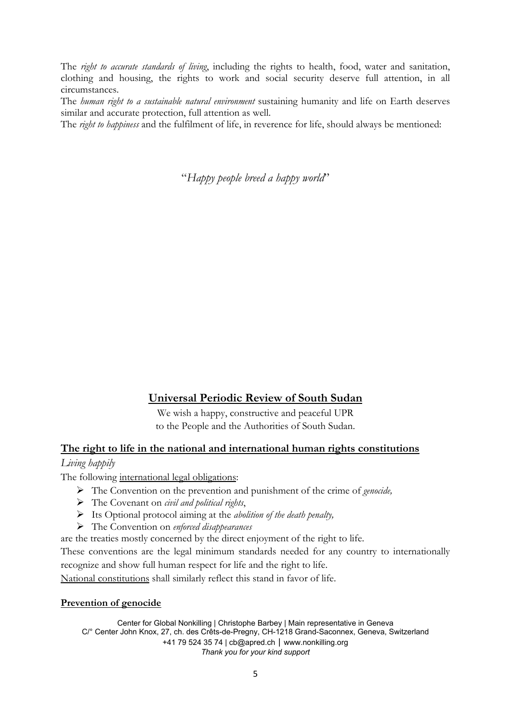The *right to accurate standards of living*, including the rights to health, food, water and sanitation, clothing and housing, the rights to work and social security deserve full attention, in all circumstances.

The *human right to <sup>a</sup> sustainable natural environment* sustaining humanity and life on Earth deserves similar and accurate protection, full attention as well.

The *right to happiness* and the fulfilment of life, in reverence for life, should always be mentioned:

"*Happy people breed <sup>a</sup> happy world*"

**Universal Periodic Review of South Sudan**

We wish <sup>a</sup> happy, constructive and peaceful UPR to the People and the Authorities of South Sudan.

#### **The right to life in the national and international human rights constitutions**

#### *Living happily*

The following international legal obligations:

- The Convention on the prevention and punishment of the crime of *genocide,*
- The Covenant on *civil and political rights*,
- Its Optional protoco<sup>l</sup> aiming at the *abolition of the death penalty,*
- The Convention on *enforced disappearances*
- are the treaties mostly concerned by the direct enjoyment of the right to life.

These conventions are the legal minimum standards needed for any country to internationally recognize and show full human respect for life and the right to life.

National constitutions shall similarly reflect this stand in favor of life.

#### **Prevention of genocide**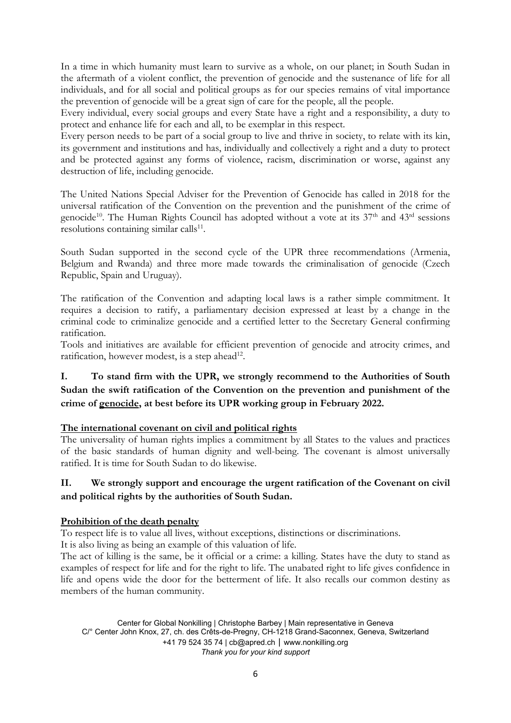In <sup>a</sup> time in which humanity must learn to survive as <sup>a</sup> whole, on our planet; in South Sudan in the aftermath of <sup>a</sup> violent conflict, the prevention of genocide and the sustenance of life for all individuals, and for all social and political groups as for our species remains of vital importance the prevention of genocide will be <sup>a</sup> great sign of care for the people, all the people.

Every individual, every social groups and every State have <sup>a</sup> right and <sup>a</sup> responsibility, <sup>a</sup> duty to protect and enhance life for each and all, to be exemplar in this respect.

Every person needs to be part of <sup>a</sup> social group to live and thrive in society, to relate with its kin, its government and institutions and has, individually and collectively <sup>a</sup> right and <sup>a</sup> duty to protect and be protected against any forms of violence, racism, discrimination or worse, against any destruction of life, including genocide.

The United Nations Special Adviser for the Prevention of Genocide has called in 2018 for the universal ratification of the Convention on the prevention and the punishment of the crime of genocide<sup>10</sup>. The Human Rights Council has adopted without a vote at its 37<sup>th</sup> and 43<sup>rd</sup> sessions resolutions containing similar calls<sup>11</sup>.

South Sudan supported in the second cycle of the UPR three recommendations (Armenia, Belgium and Rwanda) and three more made towards the criminalisation of genocide (Czech Republic, Spain and Uruguay).

The ratification of the Convention and adapting local laws is <sup>a</sup> rather simple commitment. It requires <sup>a</sup> decision to ratify, <sup>a</sup> parliamentary decision expressed at least by <sup>a</sup> change in the criminal code to criminalize genocide and <sup>a</sup> certified letter to the Secretary General confirming ratification.

Tools and initiatives are available for efficient prevention of genocide and atrocity crimes, and ratification, however modest, is a step ahead $^{12}$ .

#### **I. To stand firm with the UPR, we strongly recommend to the Authorities of South Sudan the swift ratification of the Convention on the prevention and punishment of the crime of genocide, at best before its UPR working group in February 2022.**

#### **The international covenant on civil and political rights**

The universality of human rights implies <sup>a</sup> commitment by all States to the values and practices of the basic standards of human dignity and well-being. The covenant is almost universally ratified. It is time for South Sudan to do likewise.

#### **II. We strongly support and encourage the urgent ratification of the Covenant on civil and political rights by the authorities of South Sudan.**

#### **Prohibition of the death penalty**

To respect life is to value all lives, without exceptions, distinctions or discriminations.

It is also living as being an example of this valuation of life.

The act of killing is the same, be it official or <sup>a</sup> crime: <sup>a</sup> killing. States have the duty to stand as examples of respect for life and for the right to life. The unabated right to life gives confidence in life and opens wide the door for the betterment of life. It also recalls our common destiny as members of the human community.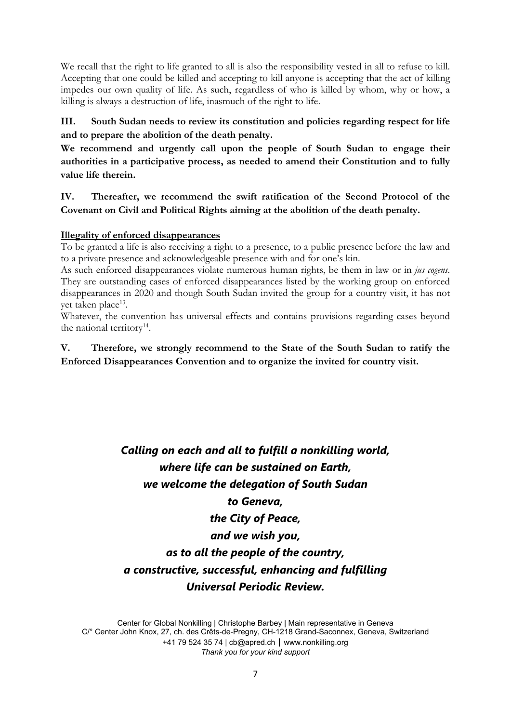We recall that the right to life granted to all is also the responsibility vested in all to refuse to kill. Accepting that one could be killed and accepting to kill anyone is accepting that the act of killing impedes our own quality of life. As such, regardless of who is killed by whom, why or how, <sup>a</sup> killing is always <sup>a</sup> destruction of life, inasmuch of the right to life.

#### **III. South Sudan needs to review its constitution and policies regarding respect for life and to prepare the abolition of the death penalty.**

**We recommend and urgently call upon the people of South Sudan to engage their authorities in <sup>a</sup> participative process, as needed to amend their Constitution and to fully value life therein.**

**IV. Thereafter, we recommend the swift ratification of the Second Protocol of the Covenant on Civil and Political Rights aiming at the abolition of the death penalty.**

#### **Illegality of enforced disappearances**

To be granted <sup>a</sup> life is also receiving <sup>a</sup> right to <sup>a</sup> presence, to <sup>a</sup> public presence before the law and to <sup>a</sup> private presence and acknowledgeable presence with and for one'<sup>s</sup> kin.

As such enforced disappearances violate numerous human rights, be them in law or in *jus cogens*. They are outstanding cases of enforced disappearances listed by the working group on enforced disappearances in 2020 and though South Sudan invited the group for <sup>a</sup> country visit, it has not yet taken place<sup>13</sup>.

Whatever, the convention has universal effects and contains provisions regarding cases beyond the national territory<sup>14</sup>.

**V. Therefore, we strongly recommend to the State of the South Sudan to ratify the Enforced Disappearances Convention and to organize the invited for country visit.**

### *Calling on each and all to fulfill <sup>a</sup> nonkilling world, where life can be sustained on Earth, we welcome the delegation of South Sudan to Geneva, the City of Peace, and we wish you, as to all the people of the country, <sup>a</sup> constructive, successful, enhancing and fulfilling Universal Periodic Review.*